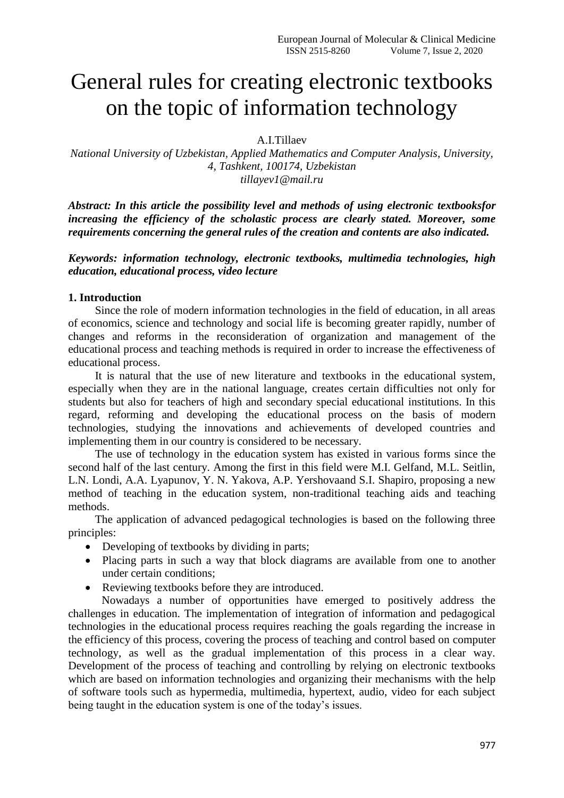# General rules for creating electronic textbooks on the topic of information technology

A.I.Tillaev

*National University of Uzbekistan, Applied Mathematics and Computer Analysis, University, 4, Tashkent, 100174, Uzbekistan tillayev1@mail.ru*

*Abstract: In this article the possibility level and methods of using electronic textbooksfor increasing the efficiency of the scholastic process are clearly stated. Moreover, some requirements concerning the general rules of the creation and contents are also indicated.*

*Keywords: information technology, electronic textbooks, multimedia technologies, high education, educational process, video lecture*

### **1. Introduction**

Since the role of modern information technologies in the field of education, in all areas of economics, science and technology and social life is becoming greater rapidly, number of changes and reforms in the reconsideration of organization and management of the educational process and teaching methods is required in order to increase the effectiveness of educational process.

It is natural that the use of new literature and textbooks in the educational system, especially when they are in the national language, creates certain difficulties not only for students but also for teachers of high and secondary special educational institutions. In this regard, reforming and developing the educational process on the basis of modern technologies, studying the innovations and achievements of developed countries and implementing them in our country is considered to be necessary.

The use of technology in the education system has existed in various forms since the second half of the last century. Among the first in this field were M.I. Gelfand, M.L. Seitlin, L.N. Londi, A.A. Lyapunov, Y. N. Yakova, A.P. Yershovaand S.I. Shapiro, proposing a new method of teaching in the education system, non-traditional teaching aids and teaching methods.

The application of advanced pedagogical technologies is based on the following three principles:

- Developing of textbooks by dividing in parts;
- Placing parts in such a way that block diagrams are available from one to another under certain conditions;
- Reviewing textbooks before they are introduced.

Nowadays a number of opportunities have emerged to positively address the challenges in education. The implementation of integration of information and pedagogical technologies in the educational process requires reaching the goals regarding the increase in the efficiency of this process, covering the process of teaching and control based on computer technology, as well as the gradual implementation of this process in a clear way. Development of the process of teaching and controlling by relying on electronic textbooks which are based on information technologies and organizing their mechanisms with the help of software tools such as hypermedia, multimedia, hypertext, audio, video for each subject being taught in the education system is one of the today's issues.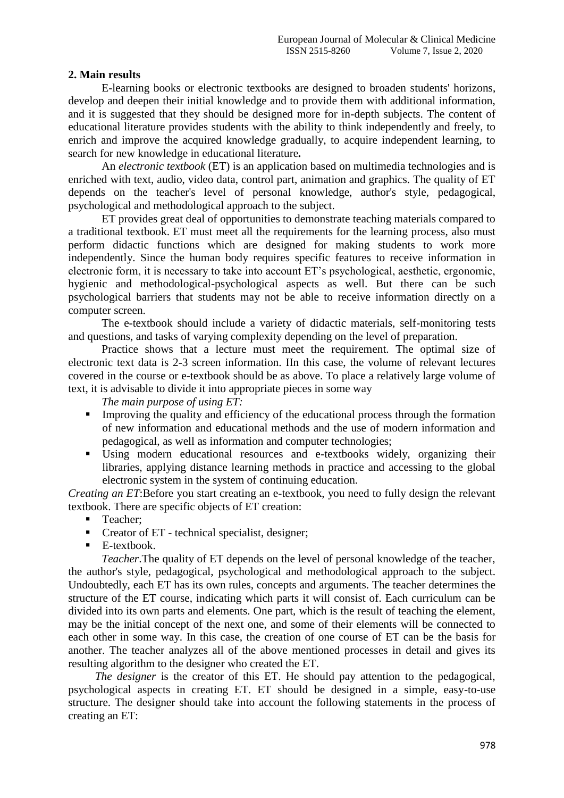## **2. Main results**

E-learning books or electronic textbooks are designed to broaden students' horizons, develop and deepen their initial knowledge and to provide them with additional information, and it is suggested that they should be designed more for in-depth subjects. The content of educational literature provides students with the ability to think independently and freely, to enrich and improve the acquired knowledge gradually, to acquire independent learning, to search for new knowledge in educational literature*.*

An *electronic textbook* (ET) is an application based on multimedia technologies and is enriched with text, audio, video data, control part, animation and graphics. The quality of ET depends on the teacher's level of personal knowledge, author's style, pedagogical, psychological and methodological approach to the subject.

ET provides great deal of opportunities to demonstrate teaching materials compared to a traditional textbook. ET must meet all the requirements for the learning process, also must perform didactic functions which are designed for making students to work more independently. Since the human body requires specific features to receive information in electronic form, it is necessary to take into account ET's psychological, aesthetic, ergonomic, hygienic and methodological-psychological aspects as well. But there can be such psychological barriers that students may not be able to receive information directly on a computer screen.

The e-textbook should include a variety of didactic materials, self-monitoring tests and questions, and tasks of varying complexity depending on the level of preparation.

Practice shows that a lecture must meet the requirement. The optimal size of electronic text data is 2-3 screen information. IIn this case, the volume of relevant lectures covered in the course or e-textbook should be as above. To place a relatively large volume of text, it is advisable to divide it into appropriate pieces in some way

*The main purpose of using ET:*

- Improving the quality and efficiency of the educational process through the formation of new information and educational methods and the use of modern information and pedagogical, as well as information and computer technologies;
- Using modern educational resources and e-textbooks widely, organizing their libraries, applying distance learning methods in practice and accessing to the global electronic system in the system of continuing education.

*Creating an ET*:Before you start creating an e-textbook, you need to fully design the relevant textbook. There are specific objects of ET creation:

- Teacher;
- Creator of ET technical specialist, designer;
- **E**-textbook.

*Teacher*.The quality of ET depends on the level of personal knowledge of the teacher, the author's style, pedagogical, psychological and methodological approach to the subject. Undoubtedly, each ET has its own rules, concepts and arguments. The teacher determines the structure of the ET course, indicating which parts it will consist of. Each curriculum can be divided into its own parts and elements. One part, which is the result of teaching the element, may be the initial concept of the next one, and some of their elements will be connected to each other in some way. In this case, the creation of one course of ET can be the basis for another. The teacher analyzes all of the above mentioned processes in detail and gives its resulting algorithm to the designer who created the ET.

*The designer* is the creator of this ET. He should pay attention to the pedagogical, psychological aspects in creating ET. ET should be designed in a simple, easy-to-use structure. The designer should take into account the following statements in the process of creating an ET: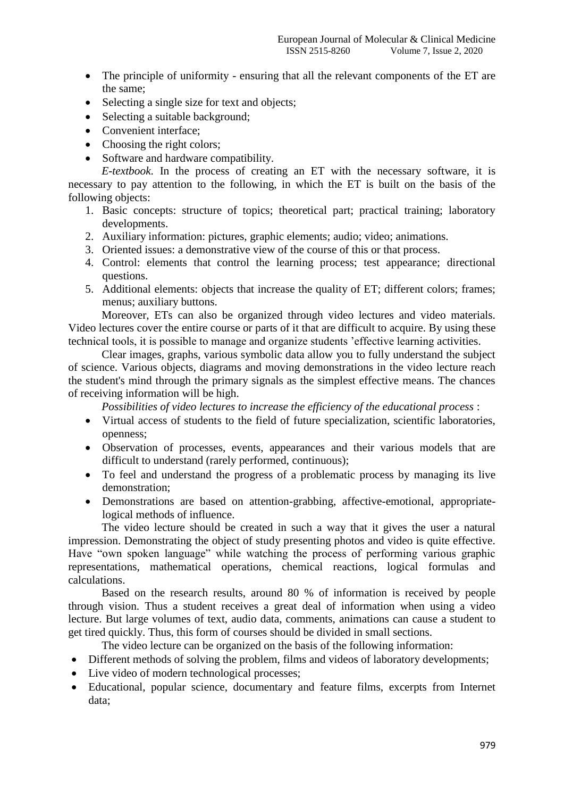- The principle of uniformity ensuring that all the relevant components of the ET are the same;
- Selecting a single size for text and objects;
- Selecting a suitable background;
- Convenient interface:
- Choosing the right colors:
- Software and hardware compatibility.

*E-textbook*. In the process of creating an ET with the necessary software, it is necessary to pay attention to the following, in which the ET is built on the basis of the following objects:

- 1. Basic concepts: structure of topics; theoretical part; practical training; laboratory developments.
- 2. Auxiliary information: pictures, graphic elements; audio; video; animations.
- 3. Oriented issues: a demonstrative view of the course of this or that process.
- 4. Control: elements that control the learning process; test appearance; directional questions.
- 5. Additional elements: objects that increase the quality of ET; different colors; frames; menus; auxiliary buttons.

Moreover, ETs can also be organized through video lectures and video materials. Video lectures cover the entire course or parts of it that are difficult to acquire. By using these technical tools, it is possible to manage and organize students 'effective learning activities.

Clear images, graphs, various symbolic data allow you to fully understand the subject of science. Various objects, diagrams and moving demonstrations in the video lecture reach the student's mind through the primary signals as the simplest effective means. The chances of receiving information will be high.

*Possibilities of video lectures to increase the efficiency of the educational process* :

- Virtual access of students to the field of future specialization, scientific laboratories, openness;
- Observation of processes, events, appearances and their various models that are difficult to understand (rarely performed, continuous);
- To feel and understand the progress of a problematic process by managing its live demonstration;
- Demonstrations are based on attention-grabbing, affective-emotional, appropriatelogical methods of influence.

The video lecture should be created in such a way that it gives the user a natural impression. Demonstrating the object of study presenting photos and video is quite effective. Have "own spoken language" while watching the process of performing various graphic representations, mathematical operations, chemical reactions, logical formulas and calculations.

Based on the research results, around 80 % of information is received by people through vision. Thus a student receives a great deal of information when using a video lecture. But large volumes of text, audio data, comments, animations can cause a student to get tired quickly. Thus, this form of courses should be divided in small sections.

The video lecture can be organized on the basis of the following information:

- Different methods of solving the problem, films and videos of laboratory developments;
- Live video of modern technological processes;
- Educational, popular science, documentary and feature films, excerpts from Internet data;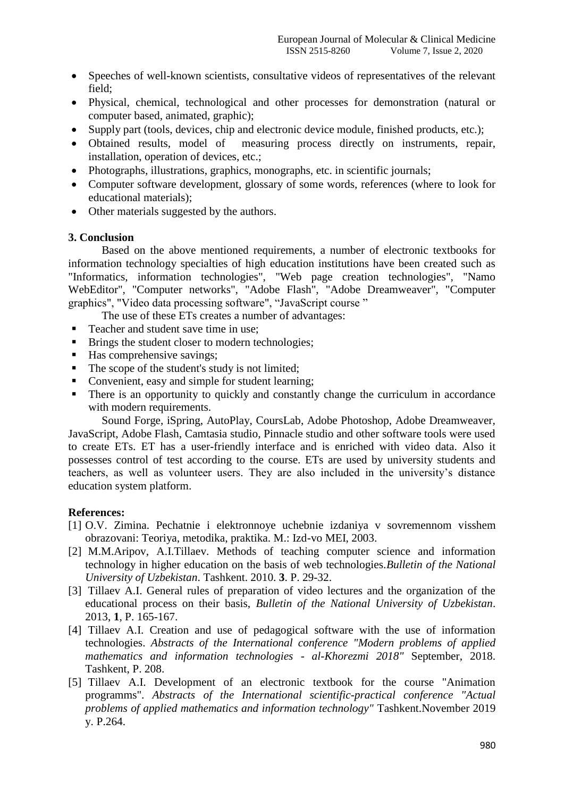- Speeches of well-known scientists, consultative videos of representatives of the relevant field;
- Physical, chemical, technological and other processes for demonstration (natural or computer based, animated, graphic);
- Supply part (tools, devices, chip and electronic device module, finished products, etc.);
- Obtained results, model of measuring process directly on instruments, repair, installation, operation of devices, etc.;
- Photographs, illustrations, graphics, monographs, etc. in scientific journals;
- Computer software development, glossary of some words, references (where to look for educational materials);
- Other materials suggested by the authors.

### **3. Conclusion**

Based on the above mentioned requirements, a number of electronic textbooks for information technology specialties of high education institutions have been created such as "Informatics, information technologies", "Web page creation technologies", "Namo WebEditor", "Computer networks", "Adobe Flash", "Adobe Dreamweaver", "Computer graphics", "Video data processing software", "JavaScript course "

The use of these ETs creates a number of advantages:

- Teacher and student save time in use:
- **Brings the student closer to modern technologies;**
- Has comprehensive savings;
- $\blacksquare$  The scope of the student's study is not limited;
- Convenient, easy and simple for student learning;
- There is an opportunity to quickly and constantly change the curriculum in accordance with modern requirements.

Sound Forge, iSpring, AutoPlay, CoursLab, Adobe Photoshop, Adobe Dreamweaver, JavaScript, Adobe Flash, Camtasia studio, Pinnacle studio and other software tools were used to create ETs. ET has a user-friendly interface and is enriched with video data. Also it possesses control of test according to the course. ETs are used by university students and teachers, as well as volunteer users. They are also included in the university's distance education system platform.

## **References:**

- [1] O.V. Zimina. Pechatnie i elektronnoye uchebnie izdaniya v sovremennom visshem obrazovani: Teoriya, metodika, praktika. M.: Izd-vo MEI, 2003.
- [2] M.M.Aripov, A.I.Tillaev. Methods of teaching computer science and information technology in higher education on the basis of web technologies.*Bulletin of the National University of Uzbekistan*. Tashkent. 2010. **3**. P. 29-32.
- [3] Tillaev A.I. General rules of preparation of video lectures and the organization of the educational process on their basis, *Bulletin of the National University of Uzbekistan*. 2013, **1**, P. 165-167.
- [4] Tillaev A.I. Creation and use of pedagogical software with the use of information technologies. *Abstracts of the International conference "Modern problems of applied mathematics and information technologies - al-Khorezmi 2018"* September, 2018. Tashkent, P. 208.
- [5] Tillaev A.I. Development of an electronic textbook for the course "Animation programms". *Abstracts of the International scientific-practical conference "Actual problems of applied mathematics and information technology"* Tashkent.November 2019 y. P.264.